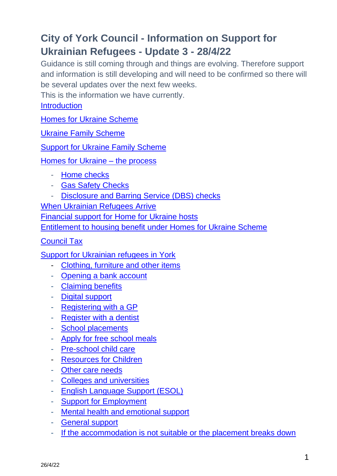# **City of York Council - Information on Support for Ukrainian Refugees - Update 3 - 28/4/22**

Guidance is still coming through and things are evolving. Therefore support and information is still developing and will need to be confirmed so there will be several updates over the next few weeks.

This is the information we have currently.

<span id="page-0-0"></span>**[Introduction](#page-0-0)** 

[Homes for Ukraine Scheme](#page-1-0)

Ukraine Family Scheme

[Support for Ukraine Family Scheme](#page-2-0)

[Homes for Ukraine –](#page-2-1) the process

- [Home checks](#page-3-0)
- [Gas Safety Checks](#page-3-1)
- [Disclosure and Barring Service \(DBS\) checks](#page-3-2)

[When Ukrainian Refugees Arrive](#page-4-0)

[Financial support for Home for Ukraine hosts](#page-4-1)

[Entitlement to housing benefit under Homes for Ukraine Scheme](#page-5-0)

[Council Tax](#page-6-0)

[Support for Ukrainian refugees in York](#page-5-0)

- [Clothing, furniture and other items](#page-7-0)
- [Opening a bank account](#page-8-0)
- [Claiming benefits](#page-7-1)
- [Digital support](#page-16-0)
- [Registering with a GP](#page-9-0)
- [Register with a dentist](#page-10-0)
- [School placements](#page-10-1)
- [Apply for free school meals](#page-11-0)
- [Pre-school child care](#page-12-0)
- [Resources for Children](#page-12-1)
- [Other care needs](#page-13-0)
- [Colleges and universities](#page-12-1)
- [English Language Support \(ESOL\)](#page-14-0)
- [Support for Employment](#page-15-0)
- [Mental health and emotional support](#page-15-1)
- [General support](#page-16-0)
- [If the accommodation is not suitable or the placement breaks down](#page-17-0)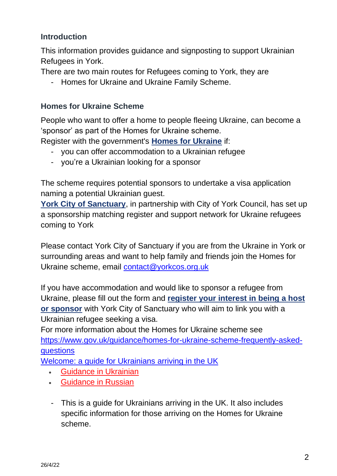# **Introduction**

This information provides guidance and signposting to support Ukrainian Refugees in York.

There are two main routes for Refugees coming to York, they are

- Homes for Ukraine and Ukraine Family Scheme.

# <span id="page-1-0"></span>**Homes for Ukraine Scheme**

People who want to offer a home to people fleeing Ukraine, can become a 'sponsor' as part of the Homes for Ukraine scheme.

Register with the government's **[Homes for Ukraine](http://homesforukraine.campaign.gov.uk/)** if:

- you can offer accommodation to a Ukrainian refugee
- you're a Ukrainian looking for a sponsor

The scheme requires potential sponsors to undertake a visa application naming a potential Ukrainian guest.

**[York City of Sanctuary](https://york.cityofsanctuary.org/)**, in partnership with City of York Council, has set up a sponsorship matching register and support network for Ukraine refugees coming to York

Please contact York City of Sanctuary if you are from the Ukraine in York or surrounding areas and want to help family and friends join the Homes for Ukraine scheme, email [contact@yorkcos.org.uk](mailto:contact@yorkcos.org.uk)

If you have accommodation and would like to sponsor a refugee from Ukraine, please fill out the form and **[register your interest in being a host](https://forms.office.com/pages/responsepage.aspx?id=HsrIQNAVjUiLs227IK-34XMQKmlkMrdJuZfUMfdq5cFUMUJDMElTMk9NUU9XMVpSTTVWWEVFOVMwMC4u)  [or sponsor](https://forms.office.com/pages/responsepage.aspx?id=HsrIQNAVjUiLs227IK-34XMQKmlkMrdJuZfUMfdq5cFUMUJDMElTMk9NUU9XMVpSTTVWWEVFOVMwMC4u)** with York City of Sanctuary who will aim to link you with a Ukrainian refugee seeking a visa.

For more information about the Homes for Ukraine scheme see [https://www.gov.uk/guidance/homes-for-ukraine-scheme-frequently-asked](https://www.gov.uk/guidance/homes-for-ukraine-scheme-frequently-asked-questions)[questions](https://www.gov.uk/guidance/homes-for-ukraine-scheme-frequently-asked-questions)

[Welcome: a guide for Ukrainians arriving in the UK](https://assets.publishing.service.gov.uk/government/uploads/system/uploads/attachment_data/file/1064315/Ukraine_Welcome_Guidance.pdf)

- [Guidance in Ukrainian](https://assets.publishing.service.gov.uk/government/uploads/system/uploads/attachment_data/file/1066799/Ukraine_Welcome_Pack_and_Beneficiary_Guidance_-_UK.pdf)
- [Guidance in Russian](https://assets.publishing.service.gov.uk/government/uploads/system/uploads/attachment_data/file/1066783/Ukraine_Welcome_Pack_and_Beneficiary_Guidance_-_RU.pdf)
- This is a guide for Ukrainians arriving in the UK. It also includes specific information for those arriving on the Homes for Ukraine scheme.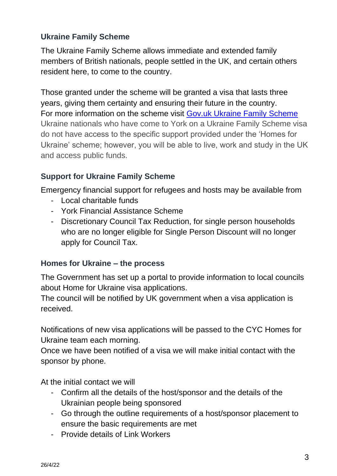# **Ukraine Family Scheme**

The Ukraine Family Scheme allows immediate and extended family members of British nationals, people settled in the UK, and certain others resident here, to come to the country.

Those granted under the scheme will be granted a visa that lasts three years, giving them certainty and ensuring their future in the country. For more information on the scheme visit [Gov.uk Ukraine Family Scheme](https://www.gov.uk/government/publications/immigration-information-for-ukrainians-in-the-uk-british-nationals-and-their-family-members/immigration-information-for-ukrainians-in-the-uk-british-nationals-and-their-family-members) Ukraine nationals who have come to York on a Ukraine Family Scheme visa do not have access to the specific support provided under the 'Homes for Ukraine' scheme; however, you will be able to live, work and study in the UK and access public funds.

# <span id="page-2-0"></span>**Support for Ukraine Family Scheme**

Emergency financial support for refugees and hosts may be available from

- Local charitable funds
- York Financial Assistance Scheme
- <span id="page-2-1"></span>- Discretionary Council Tax Reduction, for single person households who are no longer eligible for Single Person Discount will no longer apply for Council Tax.

# **Homes for Ukraine – the process**

The Government has set up a portal to provide information to local councils about Home for Ukraine visa applications.

The council will be notified by UK government when a visa application is received.

Notifications of new visa applications will be passed to the CYC Homes for Ukraine team each morning.

Once we have been notified of a visa we will make initial contact with the sponsor by phone.

At the initial contact we will

- Confirm all the details of the host/sponsor and the details of the Ukrainian people being sponsored
- Go through the outline requirements of a host/sponsor placement to ensure the basic requirements are met
- Provide details of Link Workers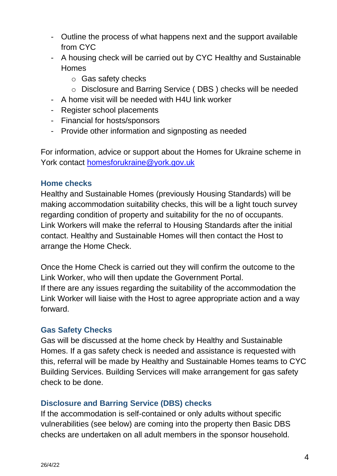- Outline the process of what happens next and the support available from CYC
- A housing check will be carried out by CYC Healthy and Sustainable **Homes** 
	- o Gas safety checks
	- o Disclosure and Barring Service ( DBS ) checks will be needed
- A home visit will be needed with H4U link worker
- Register school placements
- Financial for hosts/sponsors
- Provide other information and signposting as needed

For information, advice or support about the Homes for Ukraine scheme in York contact [homesforukraine@york.gov.uk](mailto:homesforukraine@york.gov.uk)

### <span id="page-3-0"></span>**Home checks**

Healthy and Sustainable Homes (previously Housing Standards) will be making accommodation suitability checks, this will be a light touch survey regarding condition of property and suitability for the no of occupants. Link Workers will make the referral to Housing Standards after the initial contact. Healthy and Sustainable Homes will then contact the Host to arrange the Home Check.

Once the Home Check is carried out they will confirm the outcome to the Link Worker, who will then update the Government Portal. If there are any issues regarding the suitability of the accommodation the Link Worker will liaise with the Host to agree appropriate action and a way forward.

# **Gas Safety Checks**

<span id="page-3-2"></span>Gas will be discussed at the home check by Healthy and Sustainable Homes. If a gas safety check is needed and assistance is requested with this, referral will be made by Healthy and Sustainable Homes teams to CYC Building Services. Building Services will make arrangement for gas safety check to be done.

#### <span id="page-3-1"></span>**Disclosure and Barring Service (DBS) checks**

If the accommodation is self-contained or only adults without specific vulnerabilities (see below) are coming into the property then Basic DBS checks are undertaken on all adult members in the sponsor household.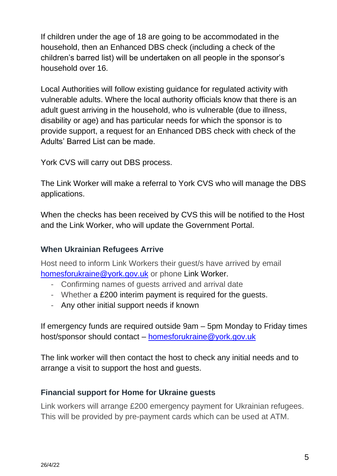If children under the age of 18 are going to be accommodated in the household, then an Enhanced DBS check (including a check of the children's barred list) will be undertaken on all people in the sponsor's household over 16.

Local Authorities will follow existing guidance for regulated activity with vulnerable adults. Where the local authority officials know that there is an adult guest arriving in the household, who is vulnerable (due to illness, disability or age) and has particular needs for which the sponsor is to provide support, a request for an Enhanced DBS check with check of the Adults' Barred List can be made.

York CVS will carry out DBS process.

The Link Worker will make a referral to York CVS who will manage the DBS applications.

When the checks has been received by CVS this will be notified to the Host and the Link Worker, who will update the Government Portal.

# <span id="page-4-0"></span>**When Ukrainian Refugees Arrive**

Host need to inform Link Workers their guest/s have arrived by email [homesforukraine@york.gov.uk](mailto:homesforukraine@york.gov.uk) or phone Link Worker.

- Confirming names of guests arrived and arrival date
- Whether a £200 interim payment is required for the guests.
- Any other initial support needs if known

If emergency funds are required outside 9am – 5pm Monday to Friday times host/sponsor should contact – [homesforukraine@york.gov.uk](mailto:homesforukraine@york.gov.uk)

The link worker will then contact the host to check any initial needs and to arrange a visit to support the host and guests.

# <span id="page-4-1"></span>**Financial support for Home for Ukraine guests**

Link workers will arrange £200 emergency payment for Ukrainian refugees. This will be provided by pre-payment cards which can be used at ATM.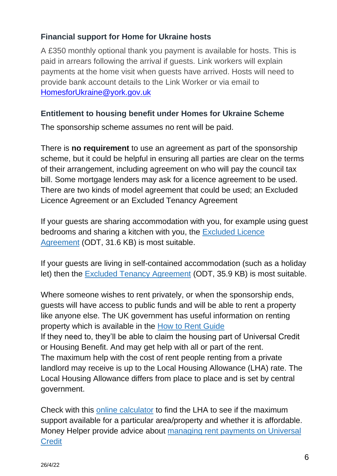# **Financial support for Home for Ukraine hosts**

A £350 monthly optional thank you payment is available for hosts. This is paid in arrears following the arrival if guests. Link workers will explain payments at the home visit when guests have arrived. Hosts will need to provide bank account details to the Link Worker or via email to [HomesforUkraine@york.gov.uk](mailto:HomesforUkraine@york.gov.uk)

# <span id="page-5-0"></span>**Entitlement to housing benefit under Homes for Ukraine Scheme**

The sponsorship scheme assumes no rent will be paid.

There is **no requirement** to use an agreement as part of the sponsorship scheme, but it could be helpful in ensuring all parties are clear on the terms of their arrangement, including agreement on who will pay the council tax bill. Some mortgage lenders may ask for a licence agreement to be used. There are two kinds of model agreement that could be used; an Excluded Licence Agreement or an Excluded Tenancy Agreement

If your guests are sharing accommodation with you, for example using guest bedrooms and sharing a kitchen with you, the [Excluded Licence](https://assets.publishing.service.gov.uk/government/uploads/system/uploads/attachment_data/file/1064719/220330_FAQ_ExcludedLicencingAgreement_Final.odt)  [Agreement](https://assets.publishing.service.gov.uk/government/uploads/system/uploads/attachment_data/file/1064719/220330_FAQ_ExcludedLicencingAgreement_Final.odt) (ODT, 31.6 KB) is most suitable.

If your guests are living in self-contained accommodation (such as a holiday let) then the [Excluded Tenancy Agreement](https://assets.publishing.service.gov.uk/government/uploads/system/uploads/attachment_data/file/1064718/220330_FAQ_ExcludedTenancyAgreement_Final.odt) (ODT, 35.9 KB) is most suitable.

Where someone wishes to rent privately, or when the sponsorship ends, guests will have access to public funds and will be able to rent a property like anyone else. The UK government has useful information on renting property which is available in the [How to Rent Guide](https://www.gov.uk/government/publications/how-to-rent) If they need to, they'll be able to claim the housing part of Universal Credit or Housing Benefit. And may get help with all or part of the rent. The maximum help with the cost of rent people renting from a private landlord may receive is up to the Local Housing Allowance (LHA) rate. The Local Housing Allowance differs from place to place and is set by central government.

Check with this [online calculator](https://www.gov.uk/government/publications/understanding-local-housing-allowances-rates-broad-rental-market-areas) to find the LHA to see if the maximum support available for a particular area/property and whether it is affordable. Money Helper provide advice about [managing rent payments on Universal](https://www.moneyhelper.org.uk/en/benefits/benefits-to-help-with-housing-costs/universal-credit-and-paying-rent?source=mas)  **[Credit](https://www.moneyhelper.org.uk/en/benefits/benefits-to-help-with-housing-costs/universal-credit-and-paying-rent?source=mas)**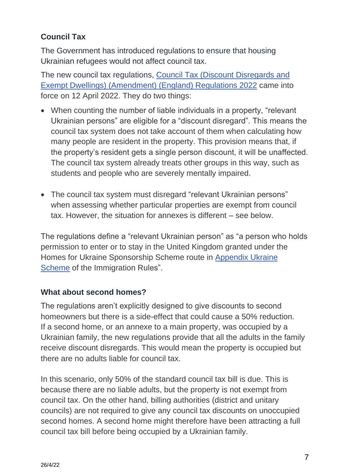# <span id="page-6-0"></span>**Council Tax**

The Government has introduced regulations to ensure that housing Ukrainian refugees would not affect council tax.

The new council tax regulations, Council Tax (Discount [Disregards](https://www.legislation.gov.uk/uksi/2022/439/contents/made) and Exempt Dwellings) [\(Amendment\)](https://www.legislation.gov.uk/uksi/2022/439/contents/made) (England) Regulations 2022 came into force on 12 April 2022. They do two things:

- When counting the number of liable individuals in a property, "relevant Ukrainian persons" are eligible for a "discount disregard". This means the council tax system does not take account of them when calculating how many people are resident in the property. This provision means that, if the property's resident gets a single person discount, it will be unaffected. The council tax system already treats other groups in this way, such as students and people who are severely mentally impaired.
- The council tax system must disregard "relevant Ukrainian persons" when assessing whether particular properties are exempt from council tax. However, the situation for annexes is different – see below.

The regulations define a "relevant Ukrainian person" as "a person who holds permission to enter or to stay in the United Kingdom granted under the Homes for Ukraine Sponsorship Scheme route in [Appendix](https://www.gov.uk/guidance/immigration-rules/immigration-rules-appendix-ukraine-scheme) Ukraine [Scheme](https://www.gov.uk/guidance/immigration-rules/immigration-rules-appendix-ukraine-scheme) of the Immigration Rules".

# **What about second homes?**

The regulations aren't explicitly designed to give discounts to second homeowners but there is a side-effect that could cause a 50% reduction. If a second home, or an annexe to a main property, was occupied by a Ukrainian family, the new regulations provide that all the adults in the family receive discount disregards. This would mean the property is occupied but there are no adults liable for council tax.

In this scenario, only 50% of the standard council tax bill is due. This is because there are no liable adults, but the property is not exempt from council tax. On the other hand, billing authorities (district and unitary councils) are not required to give any council tax discounts on unoccupied second homes. A second home might therefore have been attracting a full council tax bill before being occupied by a Ukrainian family.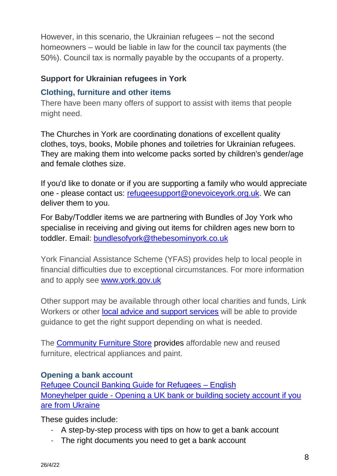However, in this scenario, the Ukrainian refugees – not the second homeowners – would be liable in law for the council tax payments (the 50%). Council tax is normally payable by the occupants of a property.

# **Support for Ukrainian refugees in York**

### <span id="page-7-0"></span>**Clothing, furniture and other items**

There have been many offers of support to assist with items that people might need.

The Churches in York are coordinating donations of excellent quality clothes, toys, books, Mobile phones and toiletries for Ukrainian refugees. They are making them into welcome packs sorted by children's gender/age and female clothes size.

If you'd like to donate or if you are supporting a family who would appreciate one - please contact us: [refugeesupport@onevoiceyork.org.uk.](mailto:refugeesupport@onevoiceyork.org.uk) We can deliver them to you.

For Baby/Toddler items we are partnering with Bundles of Joy York who specialise in receiving and giving out items for children ages new born to toddler. Email: [bundlesofyork@thebesominyork.co.uk](mailto:bundlesofyork@thebesominyork.co.uk)

York Financial Assistance Scheme (YFAS) provides help to local people in financial difficulties due to exceptional circumstances. For more information and to apply see [www.york.gov.uk](http://www.york.gov.uk/)

Other support may be available through other local charities and funds, Link Workers or other **local advice and support services** will be able to provide guidance to get the right support depending on what is needed.

The [Community Furniture Store](https://communityfurniturestore.co.uk/york-store/) provides affordable new and reused furniture, electrical appliances and paint.

# <span id="page-7-1"></span>**Opening a bank account**

[Refugee Council Banking Guide for Refugees –](https://www.refugeecouncil.org.uk/information/resources/banking-guide-for-refugees-english/) English Moneyhelper guide - [Opening a UK bank or building society account if you](https://www.moneyhelper.org.uk/en/blog/everyday-money/opening-a-uk-bank-account-if-you-are-from-ukraine)  [are from Ukraine](https://www.moneyhelper.org.uk/en/blog/everyday-money/opening-a-uk-bank-account-if-you-are-from-ukraine)

These guides include:

- A step-by-step process with tips on how to get a bank account
- The right documents you need to get a bank account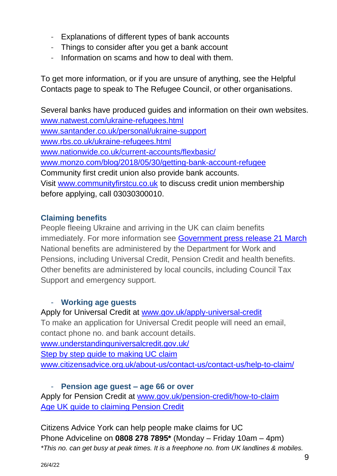- Explanations of different types of bank accounts
- Things to consider after you get a bank account
- Information on scams and how to deal with them.

To get more information, or if you are unsure of anything, see the Helpful Contacts page to speak to The Refugee Council, or other organisations.

Several banks have produced guides and information on their own websites. [www.natwest.com/ukraine-refugees.html](http://www.natwest.com/ukraine-refugees.html) [www.santander.co.uk/personal/ukraine-support](http://www.santander.co.uk/personal/ukraine-support) [www.rbs.co.uk/ukraine-refugees.html](http://www.rbs.co.uk/ukraine-refugees.html) [www.nationwide.co.uk/current-accounts/flexbasic/](http://www.nationwide.co.uk/current-accounts/flexbasic/) [www.monzo.com/blog/2018/05/30/getting-bank-account-refugee](http://www.monzo.com/blog/2018/05/30/getting-bank-account-refugee) Community first credit union also provide bank accounts. Visit [www.communityfirstcu.co.uk](http://www.communityfirstcu.co.uk/) to discuss credit union membership before applying, call 03030300010.

# **Claiming benefits**

<span id="page-8-0"></span>People fleeing Ukraine and arriving in the UK can claim benefits immediately. For more information see [Government press release 21 March](https://www.gov.uk/government/news/immediate-benefit-support-for-those-fleeing-the-invasion-in-ukraine) National benefits are administered by the Department for Work and Pensions, including Universal Credit, Pension Credit and health benefits. Other benefits are administered by local councils, including Council Tax Support and emergency support.

#### - **Working age guests**

Apply for Universal Credit at [www.gov.uk/apply-universal-credit](http://www.gov.uk/apply-universal-credit) To make an application for Universal Credit people will need an email, contact phone no. and bank account details.

[www.understandinguniversalcredit.gov.uk/](http://www.understandinguniversalcredit.gov.uk/) [Step by step guide to making UC claim](file:///U:/Personal/ukraine/step-by-step-guide-to-making-and-maintaining-a-universal-credit-clain.pdf) [www.citizensadvice.org.uk/about-us/contact-us/contact-us/help-to-claim/](http://www.citizensadvice.org.uk/about-us/contact-us/contact-us/help-to-claim/)

- **Pension age guest – age 66 or over** Apply for Pension Credit at [www.gov.uk/pension-credit/how-to-claim](http://www.gov.uk/pension-credit/how-to-claim) [Age UK guide to claiming Pension Credit](https://www.ageuk.org.uk/globalassets/age-uk/documents/information-guides/ageukig50_pension_credit_inf.pdf)

Citizens Advice York can help people make claims for UC Phone Adviceline on **0808 278 7895\*** (Monday – Friday 10am – 4pm) *\*This no. can get busy at peak times. It is a freephone no. from UK landlines & mobiles.*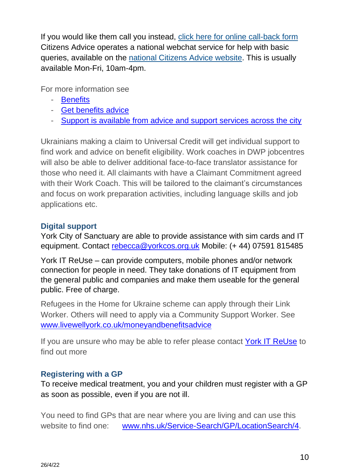If you would like them call you instead, [click here for online call-back form](https://www.citizensadviceyork.org.uk/callback-request/) Citizens Advice operates a national webchat service for help with basic queries, available on the [national Citizens Advice website.](https://www.citizensadvice.org.uk/about-us/contact-us/contact-us/web-chat-service/) This is usually available Mon-Fri, 10am-4pm.

For more information see

- [Benefits](https://www.york.gov.uk/benefits)
- [Get benefits advice](http://www.york.gov.uk/benefitsadvice)
- [Support is available from advice and support services across the city](https://www.livewellyork.co.uk/information-and-advice/money-legal/money-and-benefits-advice/)

Ukrainians making a claim to Universal Credit will get individual support to find work and advice on benefit eligibility. Work coaches in DWP jobcentres will also be able to deliver additional face-to-face translator assistance for those who need it. All claimants with have a Claimant Commitment agreed with their Work Coach. This will be tailored to the claimant's circumstances and focus on work preparation activities, including language skills and job applications etc.

# **Digital support**

York City of Sanctuary are able to provide assistance with sim cards and IT equipment. Contact [rebecca@yorkcos.org.uk](mailto:rebecca@yorkcos.org.uk) Mobile: (+ 44) 07591 815485

[York IT ReUse](http://www.itreuse.org.uk/) – can provide computers, mobile phones and/or network connection for people in need. They take donations of IT equipment from the general public and companies and make them useable for the general public. Free of charge.

Refugees in the Home for Ukraine scheme can apply through their Link Worker. Others will need to apply via a Community Support Worker. See [www.livewellyork.co.uk/moneyandbenefitsadvice](http://www.livewellyork.co.uk/moneyandbenefitsadvice)

If you are unsure who may be able to refer please contact [York IT ReUse](https://itreuse.org.uk/contact/) to find out more

# <span id="page-9-0"></span>**Registering with a GP**

To receive medical treatment, you and your children must register with a GP as soon as possible, even if you are not ill.

You need to find GPs that are near where you are living and can use this website to find one: [www.nhs.uk/Service-Search/GP/LocationSearch/4.](http://www.nhs.uk/Service-Search/GP/LocationSearch/4)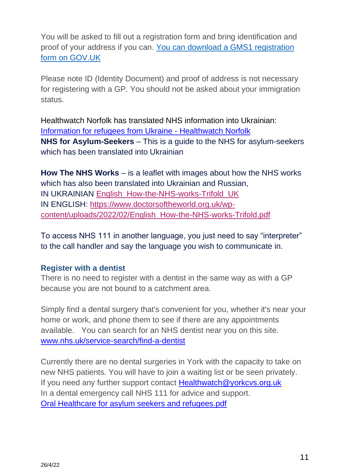You will be asked to fill out a registration form and bring identification and proof of your address if you can. [You can download a GMS1 registration](https://www.gov.uk/government/publications/gms1)  [form on GOV.UK](https://www.gov.uk/government/publications/gms1)

Please note ID (Identity Document) and proof of address is not necessary for registering with a GP. You should not be asked about your immigration status.

Healthwatch Norfolk has translated NHS information into Ukrainian: [Information for refugees from Ukraine -](https://healthwatchnorfolk.co.uk/information-and-advice/ukraine-refugees/) Healthwatch Norfolk **NHS for Asylum-Seekers** – This is a guide to the NHS for asylum-seekers which has been translated into Ukrainian

**How The NHS Works** – is a leaflet with images about how the NHS works which has also been translated into Ukrainian and Russian. IN UKRAINIAN [English\\_How-the-NHS-works-Trifold\\_UK](https://healthwatchnorfolk.co.uk/wp-content/uploads/2022/03/English_How-the-NHS-works-Trifold_UK.docx) IN ENGLISH: [https://www.doctorsoftheworld.org.uk/wp](https://www.doctorsoftheworld.org.uk/wp-content/uploads/2022/02/English_How-the-NHS-works-Trifold.pdf)[content/uploads/2022/02/English\\_How-the-NHS-works-Trifold.pdf](https://www.doctorsoftheworld.org.uk/wp-content/uploads/2022/02/English_How-the-NHS-works-Trifold.pdf)

To access NHS 111 in another language, you just need to say "interpreter" to the call handler and say the language you wish to communicate in.

#### <span id="page-10-0"></span>**Register with a dentist**

There is no need to register with a dentist in the same way as with a GP because you are not bound to a catchment area.

Simply find a dental surgery that's convenient for you, whether it's near your home or work, and phone them to see if there are any appointments available. You can search for an NHS dentist near you on this site. [www.nhs.uk/service-search/find-a-dentist](http://www.nhs.uk/service-search/find-a-dentist)

<span id="page-10-1"></span>Currently there are no dental surgeries in York with the capacity to take on new NHS patients. You will have to join a waiting list or be seen privately. If you need any further support contact [Healthwatch@yorkcvs.org.uk](mailto:Healthwatch@yorkcvs.org.uk) In a dental emergency call NHS 111 for advice and support. [Oral Healthcare for asylum seekers and refugees.pdf](file:///C:/Users/RachaelReeves/Documents/Oral%20Healthcare%20for%20asylum%20seekers%20and%20refugees.pdf)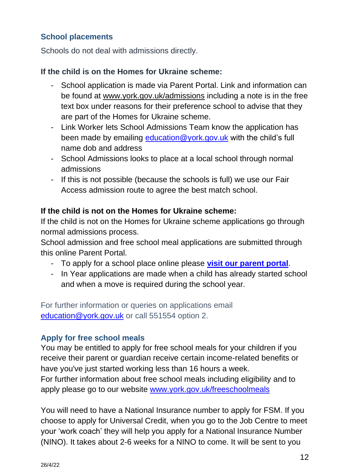# **School placements**

Schools do not deal with admissions directly.

# **If the child is on the Homes for Ukraine scheme:**

- School application is made via Parent Portal. Link and information can be found at [www.york.gov.uk/admissions](http://www.york.gov.uk/admissions) including a note is in the free text box under reasons for their preference school to advise that they are part of the Homes for Ukraine scheme.
- Link Worker lets School Admissions Team know the application has been made by emailing [education@york.gov.uk](mailto:education@york.gov.uk) with the child's full name dob and address
- School Admissions looks to place at a local school through normal admissions
- If this is not possible (because the schools is full) we use our Fair Access admission route to agree the best match school.

### **If the child is not on the Homes for Ukraine scheme:**

If the child is not on the Homes for Ukraine scheme applications go through normal admissions process.

School admission and free school meal applications are submitted through this online Parent Portal.

- To apply for a school place online please **[visit our parent portal](https://synergy.york.gov.uk/Live/SynergyWeb/Parents/default.aspx)**.
- In Year applications are made when a child has already started school and when a move is required during the school year.

For further information or queries on applications email [education@york.gov.uk](mailto:education@york.gov.uk) or call 551554 option 2.

# <span id="page-11-0"></span>**Apply for free school meals**

You may be entitled to apply for free school meals for your children if you receive their parent or guardian receive certain income-related benefits or have you've just started working less than 16 hours a week. For further information about free school meals including eligibility and to apply please go to our website [www.york.gov.uk/freeschoolmeals](http://www.york.gov.uk/freeschoolmeals)

You will need to have a National Insurance number to apply for FSM. If you choose to apply for Universal Credit, when you go to the Job Centre to meet your 'work coach' they will help you apply for a National Insurance Number (NINO). It takes about 2-6 weeks for a NINO to come. It will be sent to you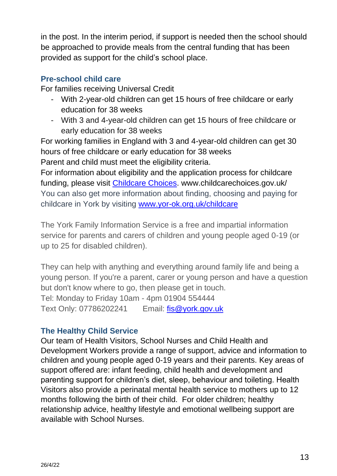in the post. In the interim period, if support is needed then the school should be approached to provide meals from the central funding that has been provided as support for the child's school place.

### <span id="page-12-0"></span>**Pre-school child care**

For families receiving Universal Credit

- With 2-year-old children can get 15 hours of free childcare or early education for 38 weeks
- With 3 and 4-year-old children can get 15 hours of free childcare or early education for 38 weeks

For working families in England with 3 and 4-year-old children can get 30 hours of free childcare or early education for 38 weeks Parent and child must meet the eligibility criteria.

For information about eligibility and the application process for childcare funding, please visit [Childcare Choices.](https://www.childcarechoices.gov.uk/) www.childcarechoices.gov.uk/ You can also get more information about finding, choosing and paying for childcare in York by visiting [www.yor-ok.org.uk/childcare](http://www.yor-ok.org.uk/childcare)

The York Family Information Service is a free and impartial information service for parents and carers of children and young people aged 0-19 (or up to 25 for disabled children).

They can help with anything and everything around family life and being a young person. If you're a parent, carer or young person and have a question but don't know where to go, then please get in touch. Tel: Monday to Friday 10am - 4pm 01904 554444 Text Only: 07786202241 Email: [fis@york.gov.uk](mailto:fis@york.gov.uk)

# <span id="page-12-1"></span>**The Healthy Child Service**

Our team of Health Visitors, School Nurses and Child Health and Development Workers provide a range of support, advice and information to children and young people aged 0-19 years and their parents. Key areas of support offered are: infant feeding, child health and development and parenting support for children's diet, sleep, behaviour and toileting. Health Visitors also provide a perinatal mental health service to mothers up to 12 months following the birth of their child. For older children; healthy relationship advice, healthy lifestyle and emotional wellbeing support are available with School Nurses.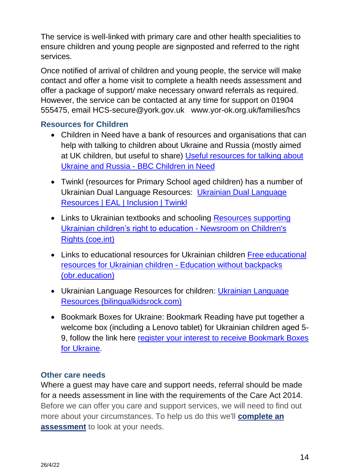The service is well-linked with primary care and other health specialities to ensure children and young people are signposted and referred to the right services.

Once notified of arrival of children and young people, the service will make contact and offer a home visit to complete a health needs assessment and offer a package of support/ make necessary onward referrals as required. However, the service can be contacted at any time for support on 01904 555475, email HCS-secure@york.gov.uk www.yor-ok.org.uk/families/hcs

# **Resources for Children**

- Children in Need have a bank of resources and organisations that can help with talking to children about Ukraine and Russia (mostly aimed at UK children, but useful to share) [Useful resources for talking about](https://eur03.safelinks.protection.outlook.com/?url=https%3A%2F%2Fwww.bbcchildreninneed.co.uk%2Fchanging-lives%2Fuseful-resources-for-talking-about-ukraine-and-russia%2F&data=04%7C01%7CEleanorMarshall%40redcross.org.uk%7Caf82bfd8a32d44cd80ea08da1d40661b%7Cfedc3cbaca5e4388a837b45c7f0d71b7%7C0%7C0%7C637854459686205269%7CUnknown%7CTWFpbGZsb3d8eyJWIjoiMC4wLjAwMDAiLCJQIjoiV2luMzIiLCJBTiI6Ik1haWwiLCJXVCI6Mn0%3D%7C3000&sdata=qRHD9D%2FNMc1wIhYIEHf2LXe83mmpurGe6V7%2FFh1dbKg%3D&reserved=0)  Ukraine and Russia - [BBC Children in Need](https://eur03.safelinks.protection.outlook.com/?url=https%3A%2F%2Fwww.bbcchildreninneed.co.uk%2Fchanging-lives%2Fuseful-resources-for-talking-about-ukraine-and-russia%2F&data=04%7C01%7CEleanorMarshall%40redcross.org.uk%7Caf82bfd8a32d44cd80ea08da1d40661b%7Cfedc3cbaca5e4388a837b45c7f0d71b7%7C0%7C0%7C637854459686205269%7CUnknown%7CTWFpbGZsb3d8eyJWIjoiMC4wLjAwMDAiLCJQIjoiV2luMzIiLCJBTiI6Ik1haWwiLCJXVCI6Mn0%3D%7C3000&sdata=qRHD9D%2FNMc1wIhYIEHf2LXe83mmpurGe6V7%2FFh1dbKg%3D&reserved=0)
- Twinkl (resources for Primary School aged children) has a number of Ukrainian Dual Language Resources: [Ukrainian Dual Language](https://eur03.safelinks.protection.outlook.com/?url=https%3A%2F%2Fwww.twinkl.co.uk%2Fresources%2Fnew-starter-eal-inclusion-teaching-resources%2Fdual-language-inclusion-teaching-resources%2Fukrainian-dual-language-new-starter-eal-inclusion&data=04%7C01%7CEleanorMarshall%40redcross.org.uk%7Caf82bfd8a32d44cd80ea08da1d40661b%7Cfedc3cbaca5e4388a837b45c7f0d71b7%7C0%7C0%7C637854459686205269%7CUnknown%7CTWFpbGZsb3d8eyJWIjoiMC4wLjAwMDAiLCJQIjoiV2luMzIiLCJBTiI6Ik1haWwiLCJXVCI6Mn0%3D%7C3000&sdata=99t%2F4GIarmMLopqKY44kMe75PU8h7xCWD%2F8LTVMScwE%3D&reserved=0)  [Resources | EAL | Inclusion | Twinkl](https://eur03.safelinks.protection.outlook.com/?url=https%3A%2F%2Fwww.twinkl.co.uk%2Fresources%2Fnew-starter-eal-inclusion-teaching-resources%2Fdual-language-inclusion-teaching-resources%2Fukrainian-dual-language-new-starter-eal-inclusion&data=04%7C01%7CEleanorMarshall%40redcross.org.uk%7Caf82bfd8a32d44cd80ea08da1d40661b%7Cfedc3cbaca5e4388a837b45c7f0d71b7%7C0%7C0%7C637854459686205269%7CUnknown%7CTWFpbGZsb3d8eyJWIjoiMC4wLjAwMDAiLCJQIjoiV2luMzIiLCJBTiI6Ik1haWwiLCJXVCI6Mn0%3D%7C3000&sdata=99t%2F4GIarmMLopqKY44kMe75PU8h7xCWD%2F8LTVMScwE%3D&reserved=0)
- Links to Ukrainian textbooks and schooling [Resources supporting](https://eur03.safelinks.protection.outlook.com/?url=https%3A%2F%2Fwww.coe.int%2Fen%2Fweb%2Fchildren%2F-%2Fresources-supporting-ukrainian-children-s-right-to-education&data=04%7C01%7CEleanorMarshall%40redcross.org.uk%7Caf82bfd8a32d44cd80ea08da1d40661b%7Cfedc3cbaca5e4388a837b45c7f0d71b7%7C0%7C0%7C637854459686205269%7CUnknown%7CTWFpbGZsb3d8eyJWIjoiMC4wLjAwMDAiLCJQIjoiV2luMzIiLCJBTiI6Ik1haWwiLCJXVCI6Mn0%3D%7C3000&sdata=rLbQcFVa6t0bQJqMDMi4o3YmL6Axaver9IZ85ijFotE%3D&reserved=0)  [Ukrainian children's right to education -](https://eur03.safelinks.protection.outlook.com/?url=https%3A%2F%2Fwww.coe.int%2Fen%2Fweb%2Fchildren%2F-%2Fresources-supporting-ukrainian-children-s-right-to-education&data=04%7C01%7CEleanorMarshall%40redcross.org.uk%7Caf82bfd8a32d44cd80ea08da1d40661b%7Cfedc3cbaca5e4388a837b45c7f0d71b7%7C0%7C0%7C637854459686205269%7CUnknown%7CTWFpbGZsb3d8eyJWIjoiMC4wLjAwMDAiLCJQIjoiV2luMzIiLCJBTiI6Ik1haWwiLCJXVCI6Mn0%3D%7C3000&sdata=rLbQcFVa6t0bQJqMDMi4o3YmL6Axaver9IZ85ijFotE%3D&reserved=0) Newsroom on Children's [Rights \(coe.int\)](https://eur03.safelinks.protection.outlook.com/?url=https%3A%2F%2Fwww.coe.int%2Fen%2Fweb%2Fchildren%2F-%2Fresources-supporting-ukrainian-children-s-right-to-education&data=04%7C01%7CEleanorMarshall%40redcross.org.uk%7Caf82bfd8a32d44cd80ea08da1d40661b%7Cfedc3cbaca5e4388a837b45c7f0d71b7%7C0%7C0%7C637854459686205269%7CUnknown%7CTWFpbGZsb3d8eyJWIjoiMC4wLjAwMDAiLCJQIjoiV2luMzIiLCJBTiI6Ik1haWwiLCJXVCI6Mn0%3D%7C3000&sdata=rLbQcFVa6t0bQJqMDMi4o3YmL6Axaver9IZ85ijFotE%3D&reserved=0)
- Links to educational resources for Ukrainian children Free educational [resources for Ukrainian children -](https://eur03.safelinks.protection.outlook.com/?url=https%3A%2F%2Fobr.education%2Fen%2Ffree-educational-resources-for-ukrainian-children%2F&data=04%7C01%7CEleanorMarshall%40redcross.org.uk%7Caf82bfd8a32d44cd80ea08da1d40661b%7Cfedc3cbaca5e4388a837b45c7f0d71b7%7C0%7C0%7C637854459686205269%7CUnknown%7CTWFpbGZsb3d8eyJWIjoiMC4wLjAwMDAiLCJQIjoiV2luMzIiLCJBTiI6Ik1haWwiLCJXVCI6Mn0%3D%7C3000&sdata=zV%2FGKI6AsuIz56dmQhRGW27RAhw683kD%2FSmx7zgKbk0%3D&reserved=0) Education without backpacks [\(obr.education\)](https://eur03.safelinks.protection.outlook.com/?url=https%3A%2F%2Fobr.education%2Fen%2Ffree-educational-resources-for-ukrainian-children%2F&data=04%7C01%7CEleanorMarshall%40redcross.org.uk%7Caf82bfd8a32d44cd80ea08da1d40661b%7Cfedc3cbaca5e4388a837b45c7f0d71b7%7C0%7C0%7C637854459686205269%7CUnknown%7CTWFpbGZsb3d8eyJWIjoiMC4wLjAwMDAiLCJQIjoiV2luMzIiLCJBTiI6Ik1haWwiLCJXVCI6Mn0%3D%7C3000&sdata=zV%2FGKI6AsuIz56dmQhRGW27RAhw683kD%2FSmx7zgKbk0%3D&reserved=0)
- Ukrainian Language Resources for children: [Ukrainian Language](https://eur03.safelinks.protection.outlook.com/?url=https%3A%2F%2Fbilingualkidsrock.com%2Fukrainian-language-resources%2F&data=04%7C01%7CEleanorMarshall%40redcross.org.uk%7Caf82bfd8a32d44cd80ea08da1d40661b%7Cfedc3cbaca5e4388a837b45c7f0d71b7%7C0%7C0%7C637854459686205269%7CUnknown%7CTWFpbGZsb3d8eyJWIjoiMC4wLjAwMDAiLCJQIjoiV2luMzIiLCJBTiI6Ik1haWwiLCJXVCI6Mn0%3D%7C3000&sdata=hBddiIFLjEBnTF7rI8QItE5hZkakJPnDWKnP7ShjZsI%3D&reserved=0)  [Resources \(bilingualkidsrock.com\)](https://eur03.safelinks.protection.outlook.com/?url=https%3A%2F%2Fbilingualkidsrock.com%2Fukrainian-language-resources%2F&data=04%7C01%7CEleanorMarshall%40redcross.org.uk%7Caf82bfd8a32d44cd80ea08da1d40661b%7Cfedc3cbaca5e4388a837b45c7f0d71b7%7C0%7C0%7C637854459686205269%7CUnknown%7CTWFpbGZsb3d8eyJWIjoiMC4wLjAwMDAiLCJQIjoiV2luMzIiLCJBTiI6Ik1haWwiLCJXVCI6Mn0%3D%7C3000&sdata=hBddiIFLjEBnTF7rI8QItE5hZkakJPnDWKnP7ShjZsI%3D&reserved=0)
- Bookmark Boxes for Ukraine: Bookmark Reading have put together a welcome box (including a Lenovo tablet) for Ukrainian children aged 5- 9, follow the link here [register your interest to receive Bookmark Boxes](https://eur03.safelinks.protection.outlook.com/?url=https%3A%2F%2Fwww.bookmarkreading.org%2Fregister-for-a-bookmark-box-for-ukraine&data=04%7C01%7CEleanorMarshall%40redcross.org.uk%7Caf82bfd8a32d44cd80ea08da1d40661b%7Cfedc3cbaca5e4388a837b45c7f0d71b7%7C0%7C0%7C637854459686205269%7CUnknown%7CTWFpbGZsb3d8eyJWIjoiMC4wLjAwMDAiLCJQIjoiV2luMzIiLCJBTiI6Ik1haWwiLCJXVCI6Mn0%3D%7C3000&sdata=DT6%2FaBTl%2BKlVZz%2BB9kmDtddxueizVB%2BbbZfuVNgYMRA%3D&reserved=0)  [for Ukraine.](https://eur03.safelinks.protection.outlook.com/?url=https%3A%2F%2Fwww.bookmarkreading.org%2Fregister-for-a-bookmark-box-for-ukraine&data=04%7C01%7CEleanorMarshall%40redcross.org.uk%7Caf82bfd8a32d44cd80ea08da1d40661b%7Cfedc3cbaca5e4388a837b45c7f0d71b7%7C0%7C0%7C637854459686205269%7CUnknown%7CTWFpbGZsb3d8eyJWIjoiMC4wLjAwMDAiLCJQIjoiV2luMzIiLCJBTiI6Ik1haWwiLCJXVCI6Mn0%3D%7C3000&sdata=DT6%2FaBTl%2BKlVZz%2BB9kmDtddxueizVB%2BbbZfuVNgYMRA%3D&reserved=0)

#### <span id="page-13-0"></span>**Other care needs**

Where a guest may have care and support needs, referral should be made for a needs assessment in line with the requirements of the Care Act 2014. Before we can offer you care and support services, we will need to find out more about your circumstances. To help us do this we'll **[complete an](https://www.york.gov.uk/CareAssessment)  [assessment](https://www.york.gov.uk/CareAssessment)** to look at your needs.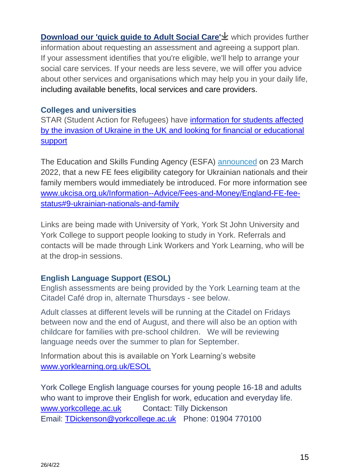**[Download our 'quick guide to Adult Social Care'](https://www.york.gov.uk/downloads/download/296/a-quick-guide-to-adult-social-care) which provides further** information about requesting an assessment and agreeing a support plan. If your assessment identifies that you're eligible, we'll help to arrange your social care services. If your needs are less severe, we will offer you advice about other services and organisations which may help you in your daily life, including available [benefits,](https://www.york.gov.uk/Benefits) local services and care providers.

### **Colleges and universities**

<span id="page-14-0"></span>STAR (Student Action for Refugees) have [information for students affected](https://star-network.org.uk/2022/03/07/information-for-students-affected-by-the-invasion-of-ukraine/)  [by the invasion of Ukraine in the UK and looking for financial or educational](https://star-network.org.uk/2022/03/07/information-for-students-affected-by-the-invasion-of-ukraine/)  [support](https://star-network.org.uk/2022/03/07/information-for-students-affected-by-the-invasion-of-ukraine/)

The Education and Skills Funding Agency (ESFA) [announced](https://www.gov.uk/government/publications/esfa-update-23-march-2022/esfa-update-further-education-23-march-2022) on 23 March 2022, that a new FE fees eligibility category for Ukrainian nationals and their family members would immediately be introduced. For more information see [www.ukcisa.org.uk/Information--Advice/Fees-and-Money/England-FE-fee](http://www.ukcisa.org.uk/Information--Advice/Fees-and-Money/England-FE-fee-status#9-ukrainian-nationals-and-family)[status#9-ukrainian-nationals-and-family](http://www.ukcisa.org.uk/Information--Advice/Fees-and-Money/England-FE-fee-status#9-ukrainian-nationals-and-family)

Links are being made with University of York, York St John University and York College to support people looking to study in York. Referrals and contacts will be made through Link Workers and York Learning, who will be at the drop-in sessions.

# **English Language Support (ESOL)**

English assessments are being provided by the York Learning team at the Citadel Café drop in, alternate Thursdays - see below.

Adult classes at different levels will be running at the Citadel on Fridays between now and the end of August, and there will also be an option with childcare for families with pre-school children. We will be reviewing language needs over the summer to plan for September.

Information about this is available on York Learning's website [www.yorklearning.org.uk/ESOL](http://www.yorklearning.org.uk/ESOL)

York College English language courses for young people 16-18 and adults who want to improve their English for work, education and everyday life. [www.yorkcollege.ac.uk](http://www.yorkcollege.ac.uk/) Contact: Tilly Dickenson Email: [TDickenson@yorkcollege.ac.uk](mailto:TDickenson@yorkcollege.ac.uk) Phone: [01904 770100](tel:01904770100)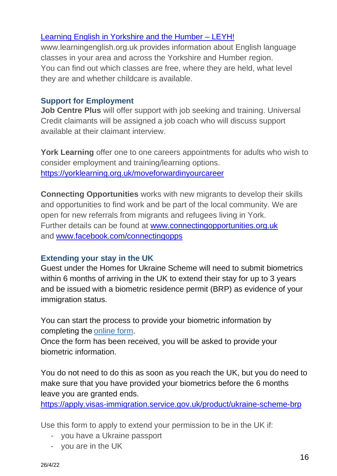# [Learning English in Yorkshire and the Humber –](https://www.learningenglish.org.uk/) LEYH!

www.learningenglish.org.uk provides information about English language classes in your area and across the Yorkshire and Humber region. You can find out which classes are free, where they are held, what level they are and whether childcare is available.

# <span id="page-15-0"></span>**Support for Employment**

**Job Centre Plus** will offer support with job seeking and training. Universal Credit claimants will be assigned a job coach who will discuss support available at their claimant interview.

**York Learning** offer one to one careers appointments for adults who wish to consider employment and training/learning options. <https://yorklearning.org.uk/moveforwardinyourcareer>

**Connecting Opportunities** works with new migrants to develop their skills and opportunities to find work and be part of the local community. We are open for new referrals from migrants and refugees living in York. Further details can be found at [www.connectingopportunities.org.uk](http://www.connectingopportunities.org.uk/) and [www.facebook.com/connectingopps](http://www.facebook.com/connectingopps)

# <span id="page-15-1"></span>**Extending your stay in the UK**

Guest under the Homes for Ukraine Scheme will need to submit biometrics within 6 months of arriving in the UK to extend their stay for up to 3 years and be issued with a biometric residence permit (BRP) as evidence of your immigration status.

You can start the process to provide your biometric information by completing the[online form.](https://apply.visas-immigration.service.gov.uk/product/ukraine-scheme-brp)

Once the form has been received, you will be asked to provide your biometric information.

You do not need to do this as soon as you reach the UK, but you do need to make sure that you have provided your biometrics before the 6 months leave you are granted ends.

<https://apply.visas-immigration.service.gov.uk/product/ukraine-scheme-brp>

Use this form to apply to extend your permission to be in the UK if:

- you have a Ukraine passport
- you are in the UK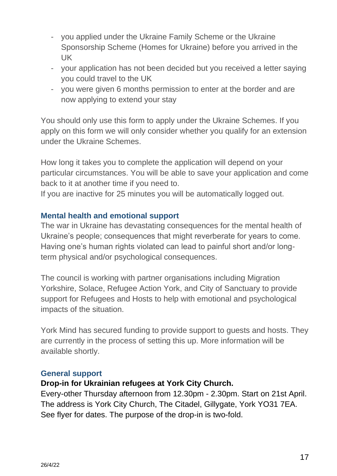- you applied under the Ukraine Family Scheme or the Ukraine Sponsorship Scheme (Homes for Ukraine) before you arrived in the UK
- your application has not been decided but you received a letter saying you could travel to the UK
- you were given 6 months permission to enter at the border and are now applying to extend your stay

You should only use this form to apply under the Ukraine Schemes. If you apply on this form we will only consider whether you qualify for an extension under the Ukraine Schemes.

How long it takes you to complete the application will depend on your particular circumstances. You will be able to save your application and come back to it at another time if you need to.

If you are inactive for 25 minutes you will be automatically logged out.

#### **Mental health and emotional support**

The war in Ukraine has devastating consequences for the mental health of Ukraine's people; consequences that might reverberate for years to come. Having one's human rights violated can lead to painful short and/or longterm physical and/or psychological consequences.

The council is working with partner organisations including Migration Yorkshire, Solace, Refugee Action York, and City of Sanctuary to provide support for Refugees and Hosts to help with emotional and psychological impacts of the situation.

York Mind has secured funding to provide support to guests and hosts. They are currently in the process of setting this up. More information will be available shortly.

#### <span id="page-16-0"></span>**General support**

#### **Drop-in for Ukrainian refugees at York City Church.**

Every-other Thursday afternoon from 12.30pm - 2.30pm. Start on 21st April. The address is York City Church, The Citadel, Gillygate, York YO31 7EA. See flyer for dates. The purpose of the drop-in is two-fold.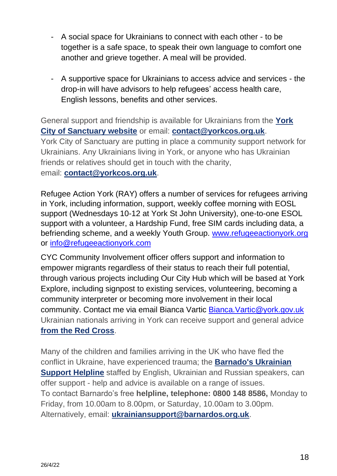- A social space for Ukrainians to connect with each other to be together is a safe space, to speak their own language to comfort one another and grieve together. A meal will be provided.
- A supportive space for Ukrainians to access advice and services the drop-in will have advisors to help refugees' access health care, English lessons, benefits and other services.

General support and friendship is available for Ukrainians from the **[York](https://york.cityofsanctuary.org/)  [City of Sanctuary website](https://york.cityofsanctuary.org/)** or email: **[contact@yorkcos.org.uk](mailto:contact@yorkcos.org.uk)**. York City of Sanctuary are putting in place a community support network for Ukrainians. Any Ukrainians living in York, or anyone who has Ukrainian friends or relatives should get in touch with the charity, email: **[contact@yorkcos.org.uk](mailto:contact@yorkcos.org.uk)**.

Refugee Action York (RAY) offers a number of services for refugees arriving in York, including information, support, weekly coffee morning with EOSL support (Wednesdays 10-12 at York St John University), one-to-one ESOL support with a volunteer, a Hardship Fund, free SIM cards including data, a befriending scheme, and a weekly Youth Group. [www.refugeeactionyork.org](http://www.refugeeactionyork.org/) or [info@refugeeactionyork.com](mailto:info@refugeeactionyork.com)

CYC Community Involvement officer offers support and information to empower migrants regardless of their status to reach their full potential, through various projects including Our City Hub which will be based at York Explore, including signpost to existing services, volunteering, becoming a community interpreter or becoming more involvement in their local community. Contact me via email Bianca Vartic [Bianca.Vartic@york.gov.uk](mailto:Bianca.Vartic@york.gov.uk) Ukrainian nationals arriving in York can receive support and general advice **[from the Red Cross](https://www.redcross.org.uk/-/media/documents/get-help-as-a-refugee/ukraine/information-leaflet-for-ukrainians-arriving-in-the-uk.pdf?la=en&hash=F7B944113231A3D1E81779862CBB0CE8C6E94EC8)**.

<span id="page-17-0"></span>Many of the children and families arriving in the UK who have fled the conflict in Ukraine, have experienced trauma; the **[Barnado's Ukrainian](https://www.barnardos.org.uk/what-we-do/helping-families/ukrainian-helpline) [Support Helpline](https://www.barnardos.org.uk/what-we-do/helping-families/ukrainian-helpline)** staffed by English, Ukrainian and Russian speakers, can offer support - help and advice is available on a range of issues. To contact Barnardo's free **helpline, telephone: 0800 148 8586,** Monday to Friday, from 10.00am to 8.00pm, or Saturday, 10.00am to 3.00pm. Alternatively, email: **[ukrainiansupport@barnardos.org.uk](mailto:ukrainiansupport@barnardos.org.uk)**.